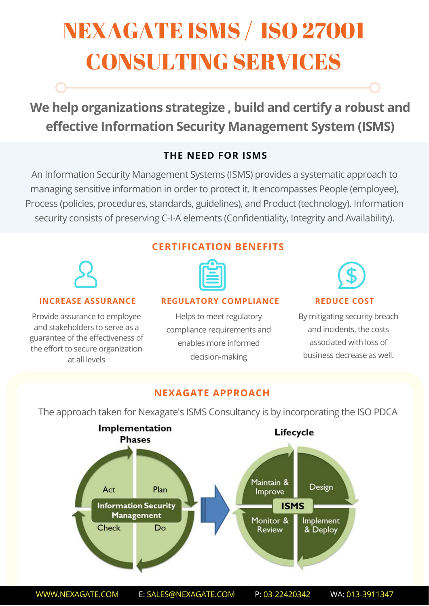# NEXAGATE ISMS / ISO 27001 CONSULTING SERVICES

**We help organizations strategize , build and certify a robust and effective Information Security Management System (ISMS)**

# **THE NEED FOR ISMS**

An Information Security Management Systems (ISMS) provides a systematic approach to managing sensitive information in order to protect it. It encompasses People (employee), Process (policies, procedures, standards, guidelines), and Product (technology). Information security consists of preserving C-I-A elements (Confidentiality, Integrity and Availability).



#### **INCREASE ASSURANCE**

Provide assurance to employee and stakeholders to serve as a guarantee of the effectiveness of the effort to secure organization at all levels

# **CERTIFICATION BENEFITS**



#### **REGULATORY COMPLIANCE REDUCE COST**

Helps to meet regulatory compliance requirements and enables more informed decision-making



By mitigating security breach and incidents, the costs associated with loss of business decrease as well.

### **NEXAGATE APPROACH**

The approach taken for Nexagate's ISMS Consultancy is by incorporating the ISO PDCA